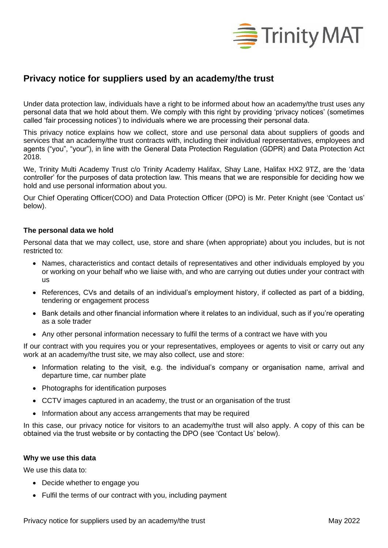

# **Privacy notice for suppliers used by an academy/the trust**

Under data protection law, individuals have a right to be informed about how an academy/the trust uses any personal data that we hold about them. We comply with this right by providing 'privacy notices' (sometimes called 'fair processing notices') to individuals where we are processing their personal data.

This privacy notice explains how we collect, store and use personal data about suppliers of goods and services that an academy/the trust contracts with, including their individual representatives, employees and agents ("you", "your"), in line with the General Data Protection Regulation (GDPR) and Data Protection Act 2018.

We, Trinity Multi Academy Trust c/o Trinity Academy Halifax, Shay Lane, Halifax HX2 9TZ, are the 'data controller' for the purposes of data protection law. This means that we are responsible for deciding how we hold and use personal information about you.

Our Chief Operating Officer(COO) and Data Protection Officer (DPO) is Mr. Peter Knight (see 'Contact us' below).

## **The personal data we hold**

Personal data that we may collect, use, store and share (when appropriate) about you includes, but is not restricted to:

- Names, characteristics and contact details of representatives and other individuals employed by you or working on your behalf who we liaise with, and who are carrying out duties under your contract with us
- References, CVs and details of an individual's employment history, if collected as part of a bidding, tendering or engagement process
- Bank details and other financial information where it relates to an individual, such as if you're operating as a sole trader
- Any other personal information necessary to fulfil the terms of a contract we have with you

If our contract with you requires you or your representatives, employees or agents to visit or carry out any work at an academy/the trust site, we may also collect, use and store:

- Information relating to the visit, e.g. the individual's company or organisation name, arrival and departure time, car number plate
- Photographs for identification purposes
- CCTV images captured in an academy, the trust or an organisation of the trust
- Information about any access arrangements that may be required

In this case, our privacy notice for visitors to an academy/the trust will also apply. A copy of this can be obtained via the trust website or by contacting the DPO (see 'Contact Us' below).

## **Why we use this data**

We use this data to:

- Decide whether to engage you
- Fulfil the terms of our contract with you, including payment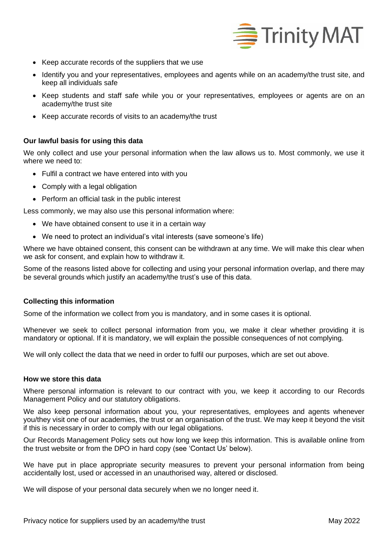

- Keep accurate records of the suppliers that we use
- Identify you and your representatives, employees and agents while on an academy/the trust site, and keep all individuals safe
- Keep students and staff safe while you or your representatives, employees or agents are on an academy/the trust site
- Keep accurate records of visits to an academy/the trust

## **Our lawful basis for using this data**

We only collect and use your personal information when the law allows us to. Most commonly, we use it where we need to:

- Fulfil a contract we have entered into with you
- Comply with a legal obligation
- Perform an official task in the public interest

Less commonly, we may also use this personal information where:

- We have obtained consent to use it in a certain way
- We need to protect an individual's vital interests (save someone's life)

Where we have obtained consent, this consent can be withdrawn at any time. We will make this clear when we ask for consent, and explain how to withdraw it.

Some of the reasons listed above for collecting and using your personal information overlap, and there may be several grounds which justify an academy/the trust's use of this data.

## **Collecting this information**

Some of the information we collect from you is mandatory, and in some cases it is optional.

Whenever we seek to collect personal information from you, we make it clear whether providing it is mandatory or optional. If it is mandatory, we will explain the possible consequences of not complying.

We will only collect the data that we need in order to fulfil our purposes, which are set out above.

## **How we store this data**

Where personal information is relevant to our contract with you, we keep it according to our Records Management Policy and our statutory obligations.

We also keep personal information about you, your representatives, employees and agents whenever you/they visit one of our academies, the trust or an organisation of the trust. We may keep it beyond the visit if this is necessary in order to comply with our legal obligations.

Our Records Management Policy sets out how long we keep this information. This is available online from the trust website or from the DPO in hard copy (see 'Contact Us' below).

We have put in place appropriate security measures to prevent your personal information from being accidentally lost, used or accessed in an unauthorised way, altered or disclosed.

We will dispose of your personal data securely when we no longer need it.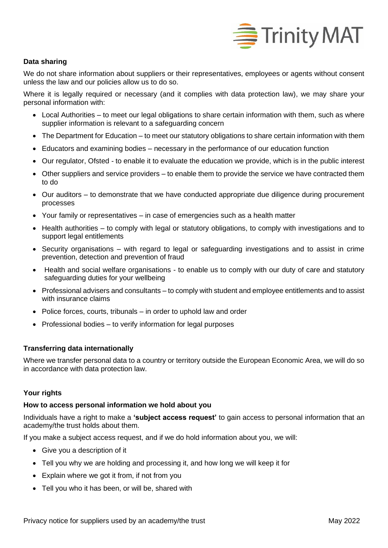

# **Data sharing**

We do not share information about suppliers or their representatives, employees or agents without consent unless the law and our policies allow us to do so.

Where it is legally required or necessary (and it complies with data protection law), we may share your personal information with:

- Local Authorities to meet our legal obligations to share certain information with them, such as where supplier information is relevant to a safeguarding concern
- The Department for Education to meet our statutory obligations to share certain information with them
- Educators and examining bodies necessary in the performance of our education function
- Our regulator, Ofsted *-* to enable it to evaluate the education we provide, which is in the public interest
- Other suppliers and service providers to enable them to provide the service we have contracted them to do
- Our auditors to demonstrate that we have conducted appropriate due diligence during procurement processes
- Your family or representatives in case of emergencies such as a health matter
- Health authorities to comply with legal or statutory obligations, to comply with investigations and to support legal entitlements
- Security organisations with regard to legal or safeguarding investigations and to assist in crime prevention, detection and prevention of fraud
- Health and social welfare organisations to enable us to comply with our duty of care and statutory safeguarding duties for your wellbeing
- Professional advisers and consultants to comply with student and employee entitlements and to assist with insurance claims
- Police forces, courts, tribunals in order to uphold law and order
- Professional bodies to verify information for legal purposes

# **Transferring data internationally**

Where we transfer personal data to a country or territory outside the European Economic Area, we will do so in accordance with data protection law.

## **Your rights**

## **How to access personal information we hold about you**

Individuals have a right to make a **'subject access request'** to gain access to personal information that an academy/the trust holds about them.

If you make a subject access request, and if we do hold information about you, we will:

- Give you a description of it
- Tell you why we are holding and processing it, and how long we will keep it for
- Explain where we got it from, if not from you
- Tell you who it has been, or will be, shared with